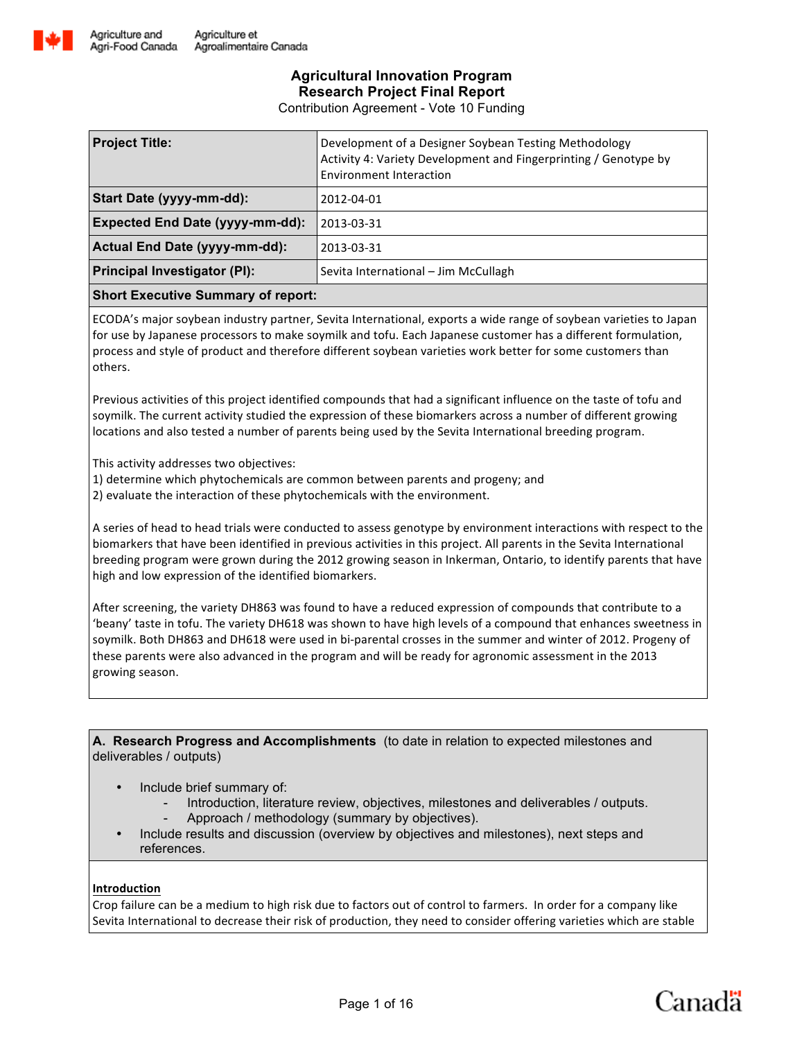

Contribution Agreement - Vote 10 Funding

| <b>Project Title:</b>                  | Development of a Designer Soybean Testing Methodology<br>Activity 4: Variety Development and Fingerprinting / Genotype by<br><b>Environment Interaction</b> |  |  |
|----------------------------------------|-------------------------------------------------------------------------------------------------------------------------------------------------------------|--|--|
| Start Date (yyyy-mm-dd):               | 2012-04-01                                                                                                                                                  |  |  |
| <b>Expected End Date (yyyy-mm-dd):</b> | 2013-03-31                                                                                                                                                  |  |  |
| Actual End Date (yyyy-mm-dd):          | 2013-03-31                                                                                                                                                  |  |  |
| <b>Principal Investigator (PI):</b>    | Sevita International - Jim McCullagh                                                                                                                        |  |  |
|                                        |                                                                                                                                                             |  |  |

### **Short Executive Summary of report:**

ECODA's major soybean industry partner, Sevita International, exports a wide range of soybean varieties to Japan for use by Japanese processors to make soymilk and tofu. Each Japanese customer has a different formulation, process and style of product and therefore different soybean varieties work better for some customers than others. 

Previous activities of this project identified compounds that had a significant influence on the taste of tofu and soymilk. The current activity studied the expression of these biomarkers across a number of different growing locations and also tested a number of parents being used by the Sevita International breeding program.

This activity addresses two objectives:

1) determine which phytochemicals are common between parents and progeny; and

2) evaluate the interaction of these phytochemicals with the environment.

A series of head to head trials were conducted to assess genotype by environment interactions with respect to the biomarkers that have been identified in previous activities in this project. All parents in the Sevita International breeding program were grown during the 2012 growing season in Inkerman, Ontario, to identify parents that have high and low expression of the identified biomarkers.

After screening, the variety DH863 was found to have a reduced expression of compounds that contribute to a 'beany' taste in tofu. The variety DH618 was shown to have high levels of a compound that enhances sweetness in soymilk. Both DH863 and DH618 were used in bi-parental crosses in the summer and winter of 2012. Progeny of these parents were also advanced in the program and will be ready for agronomic assessment in the 2013 growing season.

**A. Research Progress and Accomplishments** (to date in relation to expected milestones and deliverables / outputs)

- Include brief summary of:
	- Introduction, literature review, objectives, milestones and deliverables / outputs.
	- Approach / methodology (summary by objectives).
- Include results and discussion (overview by objectives and milestones), next steps and references.

### **Introduction**

Crop failure can be a medium to high risk due to factors out of control to farmers. In order for a company like Sevita International to decrease their risk of production, they need to consider offering varieties which are stable

Canadä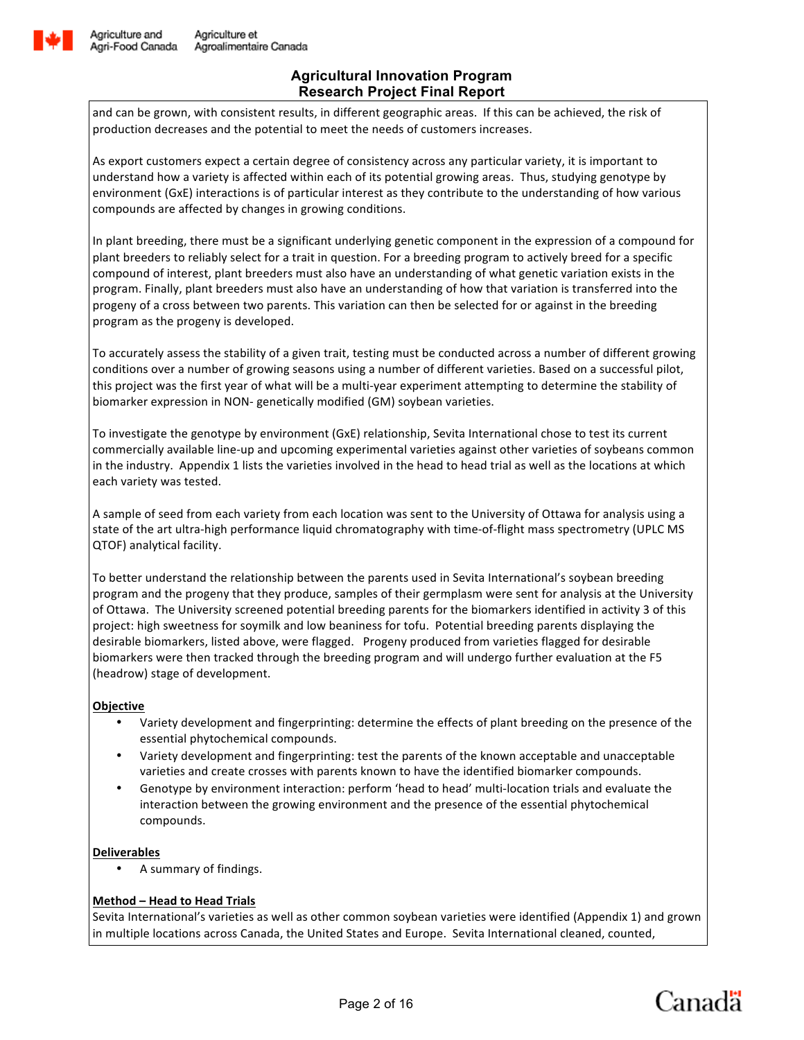

and can be grown, with consistent results, in different geographic areas. If this can be achieved, the risk of production decreases and the potential to meet the needs of customers increases.

As export customers expect a certain degree of consistency across any particular variety, it is important to understand how a variety is affected within each of its potential growing areas. Thus, studying genotype by environment (GxE) interactions is of particular interest as they contribute to the understanding of how various compounds are affected by changes in growing conditions.

In plant breeding, there must be a significant underlying genetic component in the expression of a compound for plant breeders to reliably select for a trait in question. For a breeding program to actively breed for a specific compound of interest, plant breeders must also have an understanding of what genetic variation exists in the program. Finally, plant breeders must also have an understanding of how that variation is transferred into the progeny of a cross between two parents. This variation can then be selected for or against in the breeding program as the progeny is developed.

To accurately assess the stability of a given trait, testing must be conducted across a number of different growing conditions over a number of growing seasons using a number of different varieties. Based on a successful pilot, this project was the first year of what will be a multi-year experiment attempting to determine the stability of biomarker expression in NON- genetically modified (GM) soybean varieties.

To investigate the genotype by environment (GxE) relationship, Sevita International chose to test its current commercially available line-up and upcoming experimental varieties against other varieties of soybeans common in the industry. Appendix 1 lists the varieties involved in the head to head trial as well as the locations at which each variety was tested.

A sample of seed from each variety from each location was sent to the University of Ottawa for analysis using a state of the art ultra-high performance liquid chromatography with time-of-flight mass spectrometry (UPLC MS QTOF) analytical facility.

To better understand the relationship between the parents used in Sevita International's soybean breeding program and the progeny that they produce, samples of their germplasm were sent for analysis at the University of Ottawa. The University screened potential breeding parents for the biomarkers identified in activity 3 of this project: high sweetness for soymilk and low beaniness for tofu. Potential breeding parents displaying the desirable biomarkers, listed above, were flagged. Progeny produced from varieties flagged for desirable biomarkers were then tracked through the breeding program and will undergo further evaluation at the F5 (headrow) stage of development.

### **Objective**

- Variety development and fingerprinting: determine the effects of plant breeding on the presence of the essential phytochemical compounds.
- Variety development and fingerprinting: test the parents of the known acceptable and unacceptable varieties and create crosses with parents known to have the identified biomarker compounds.
- Genotype by environment interaction: perform 'head to head' multi-location trials and evaluate the interaction between the growing environment and the presence of the essential phytochemical compounds.

### **Deliverables**

A summary of findings.

### **Method – Head to Head Trials**

Sevita International's varieties as well as other common soybean varieties were identified (Appendix 1) and grown in multiple locations across Canada, the United States and Europe. Sevita International cleaned, counted,

Canadä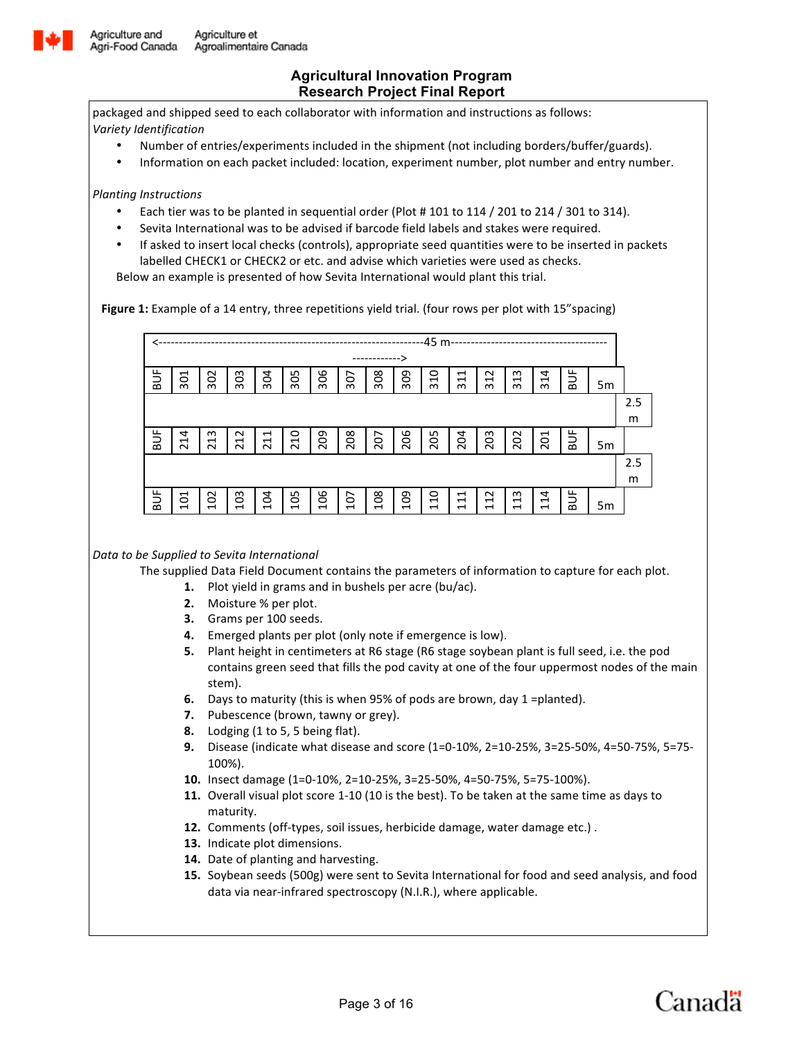

packaged and shipped seed to each collaborator with information and instructions as follows: *Variety Identification*

- Number of entries/experiments included in the shipment (not including borders/buffer/guards).
- Information on each packet included: location, experiment number, plot number and entry number.

*Planting Instructions*

- Each tier was to be planted in sequential order (Plot # 101 to 114 / 201 to 214 / 301 to 314).
- Sevita International was to be advised if barcode field labels and stakes were required.
- If asked to insert local checks (controls), appropriate seed quantities were to be inserted in packets labelled CHECK1 or CHECK2 or etc. and advise which varieties were used as checks.

Below an example is presented of how Sevita International would plant this trial.

Figure 1: Example of a 14 entry, three repetitions yield trial. (four rows per plot with 15"spacing)



### Data to be Supplied to Sevita International

The supplied Data Field Document contains the parameters of information to capture for each plot.

- **1.** Plot yield in grams and in bushels per acre (bu/ac).
- **2.** Moisture % per plot.
- **3.** Grams per 100 seeds.
- **4.** Emerged plants per plot (only note if emergence is low).
- **5.** Plant height in centimeters at R6 stage (R6 stage soybean plant is full seed, i.e. the pod contains green seed that fills the pod cavity at one of the four uppermost nodes of the main stem).
- **6.** Days to maturity (this is when 95% of pods are brown, day 1 =planted).
- **7.** Pubescence (brown, tawny or grey).
- **8.** Lodging (1 to 5, 5 being flat).
- **9.** Disease (indicate what disease and score (1=0-10%, 2=10-25%, 3=25-50%, 4=50-75%, 5=75-100%).
- 10. Insect damage (1=0-10%, 2=10-25%, 3=25-50%, 4=50-75%, 5=75-100%).
- **11.** Overall visual plot score 1-10 (10 is the best). To be taken at the same time as days to maturity.
- **12.** Comments (off-types, soil issues, herbicide damage, water damage etc.).
- 13. Indicate plot dimensions.
- 14. Date of planting and harvesting.
- **15.** Soybean seeds (500g) were sent to Sevita International for food and seed analysis, and food data via near-infrared spectroscopy (N.I.R.), where applicable.

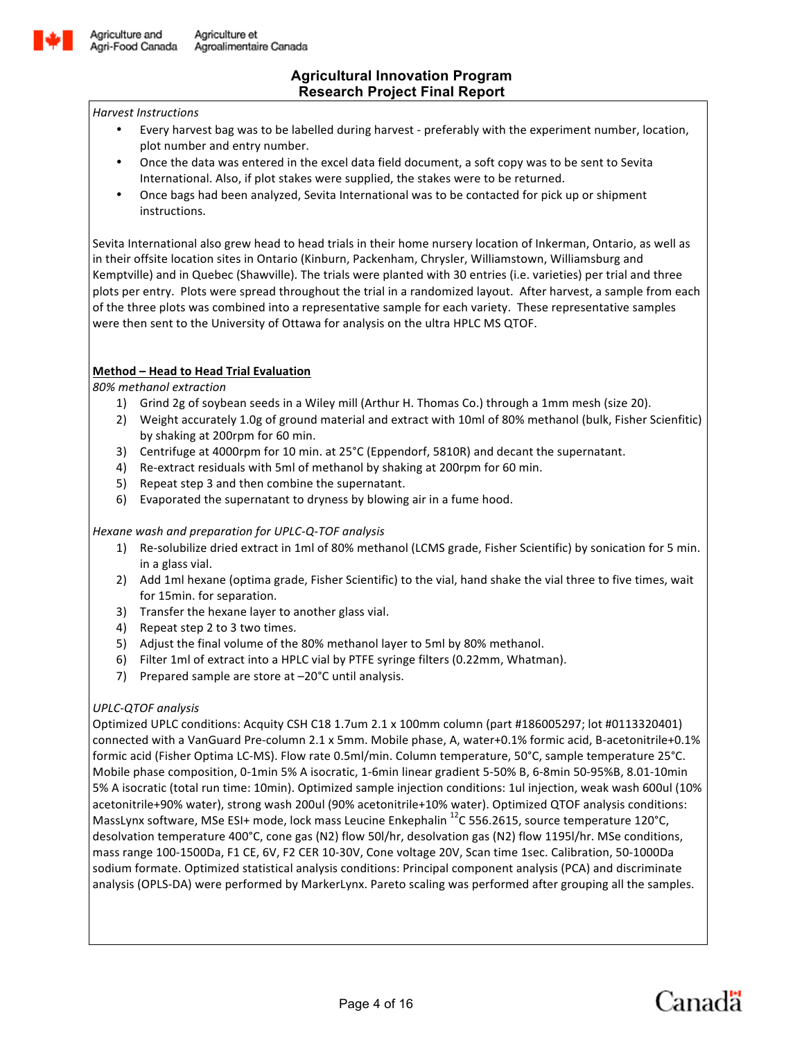

#### *Harvest Instructions*

- Every harvest bag was to be labelled during harvest preferably with the experiment number, location, plot number and entry number.
- Once the data was entered in the excel data field document, a soft copy was to be sent to Sevita International. Also, if plot stakes were supplied, the stakes were to be returned.
- Once bags had been analyzed, Sevita International was to be contacted for pick up or shipment instructions.

Sevita International also grew head to head trials in their home nursery location of Inkerman, Ontario, as well as in their offsite location sites in Ontario (Kinburn, Packenham, Chrysler, Williamstown, Williamsburg and Kemptville) and in Quebec (Shawville). The trials were planted with 30 entries (i.e. varieties) per trial and three plots per entry. Plots were spread throughout the trial in a randomized layout. After harvest, a sample from each of the three plots was combined into a representative sample for each variety. These representative samples were then sent to the University of Ottawa for analysis on the ultra HPLC MS QTOF.

### **Method – Head to Head Trial Evaluation**

*80% methanol extraction*

- 1) Grind 2g of soybean seeds in a Wiley mill (Arthur H. Thomas Co.) through a 1mm mesh (size 20).
- 2) Weight accurately 1.0g of ground material and extract with 10ml of 80% methanol (bulk, Fisher Scienfitic) by shaking at 200rpm for 60 min.
- 3) Centrifuge at 4000rpm for 10 min. at 25°C (Eppendorf, 5810R) and decant the supernatant.
- 4) Re-extract residuals with 5ml of methanol by shaking at 200rpm for 60 min.
- 5) Repeat step 3 and then combine the supernatant.
- 6) Evaporated the supernatant to dryness by blowing air in a fume hood.

### *Hexane wash and preparation for UPLC-Q-TOF analysis*

- 1) Re-solubilize dried extract in 1ml of 80% methanol (LCMS grade, Fisher Scientific) by sonication for 5 min. in a glass vial.
- 2) Add 1ml hexane (optima grade, Fisher Scientific) to the vial, hand shake the vial three to five times, wait for 15min. for separation.
- 3) Transfer the hexane layer to another glass vial.
- 4) Repeat step 2 to 3 two times.
- 5) Adjust the final volume of the 80% methanol layer to 5ml by 80% methanol.
- 6) Filter 1ml of extract into a HPLC vial by PTFE syringe filters (0.22mm, Whatman).
- 7) Prepared sample are store at -20°C until analysis.

## *UPLC-QTOF analysis*

Optimized UPLC conditions: Acquity CSH C18 1.7um 2.1 x 100mm column (part #186005297; lot #0113320401) connected with a VanGuard Pre-column 2.1 x 5mm. Mobile phase, A, water+0.1% formic acid, B-acetonitrile+0.1% formic acid (Fisher Optima LC-MS). Flow rate 0.5ml/min. Column temperature, 50°C, sample temperature 25°C. Mobile phase composition, 0-1min 5% A isocratic, 1-6min linear gradient 5-50% B, 6-8min 50-95%B, 8.01-10min 5% A isocratic (total run time: 10min). Optimized sample injection conditions: 1ul injection, weak wash 600ul (10% acetonitrile+90% water), strong wash 200ul (90% acetonitrile+10% water). Optimized QTOF analysis conditions: MassLynx software, MSe ESI+ mode, lock mass Leucine Enkephalin  $^{12}$ C 556.2615, source temperature 120°C, desolvation temperature 400°C, cone gas (N2) flow 50l/hr, desolvation gas (N2) flow 1195l/hr. MSe conditions, mass range 100-1500Da, F1 CE, 6V, F2 CER 10-30V, Cone voltage 20V, Scan time 1sec. Calibration, 50-1000Da sodium formate. Optimized statistical analysis conditions: Principal component analysis (PCA) and discriminate analysis (OPLS-DA) were performed by MarkerLynx. Pareto scaling was performed after grouping all the samples.

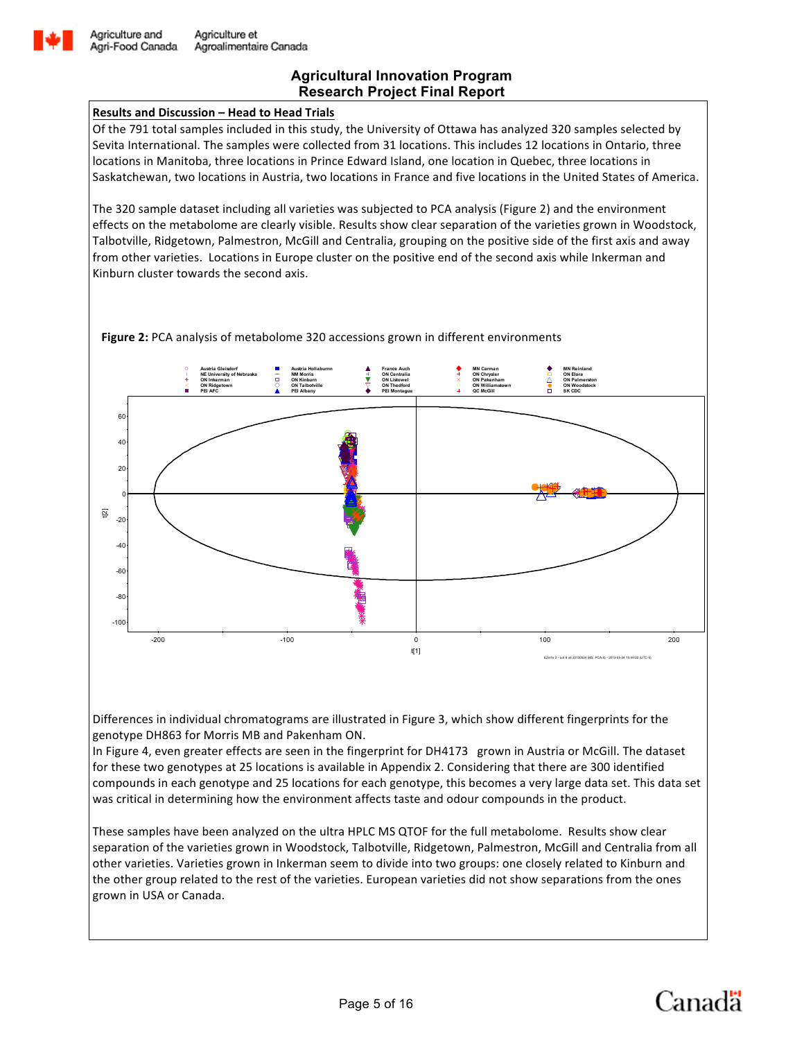

### **Results and Discussion – Head to Head Trials**

Of the 791 total samples included in this study, the University of Ottawa has analyzed 320 samples selected by Sevita International. The samples were collected from 31 locations. This includes 12 locations in Ontario, three locations in Manitoba, three locations in Prince Edward Island, one location in Quebec, three locations in Saskatchewan, two locations in Austria, two locations in France and five locations in the United States of America.

The 320 sample dataset including all varieties was subjected to PCA analysis (Figure 2) and the environment effects on the metabolome are clearly visible. Results show clear separation of the varieties grown in Woodstock, Talbotville, Ridgetown, Palmestron, McGill and Centralia, grouping on the positive side of the first axis and away from other varieties. Locations in Europe cluster on the positive end of the second axis while Inkerman and Kinburn cluster towards the second axis.

**Figure 2:** PCA analysis of metabolome 320 accessions grown in different environments



Differences in individual chromatograms are illustrated in Figure 3, which show different fingerprints for the genotype DH863 for Morris MB and Pakenham ON.

In Figure 4, even greater effects are seen in the fingerprint for DH4173 grown in Austria or McGill. The dataset for these two genotypes at 25 locations is available in Appendix 2. Considering that there are 300 identified compounds in each genotype and 25 locations for each genotype, this becomes a very large data set. This data set was critical in determining how the environment affects taste and odour compounds in the product.

These samples have been analyzed on the ultra HPLC MS QTOF for the full metabolome. Results show clear separation of the varieties grown in Woodstock, Talbotville, Ridgetown, Palmestron, McGill and Centralia from all other varieties. Varieties grown in Inkerman seem to divide into two groups: one closely related to Kinburn and the other group related to the rest of the varieties. European varieties did not show separations from the ones grown in USA or Canada.

![](_page_4_Picture_11.jpeg)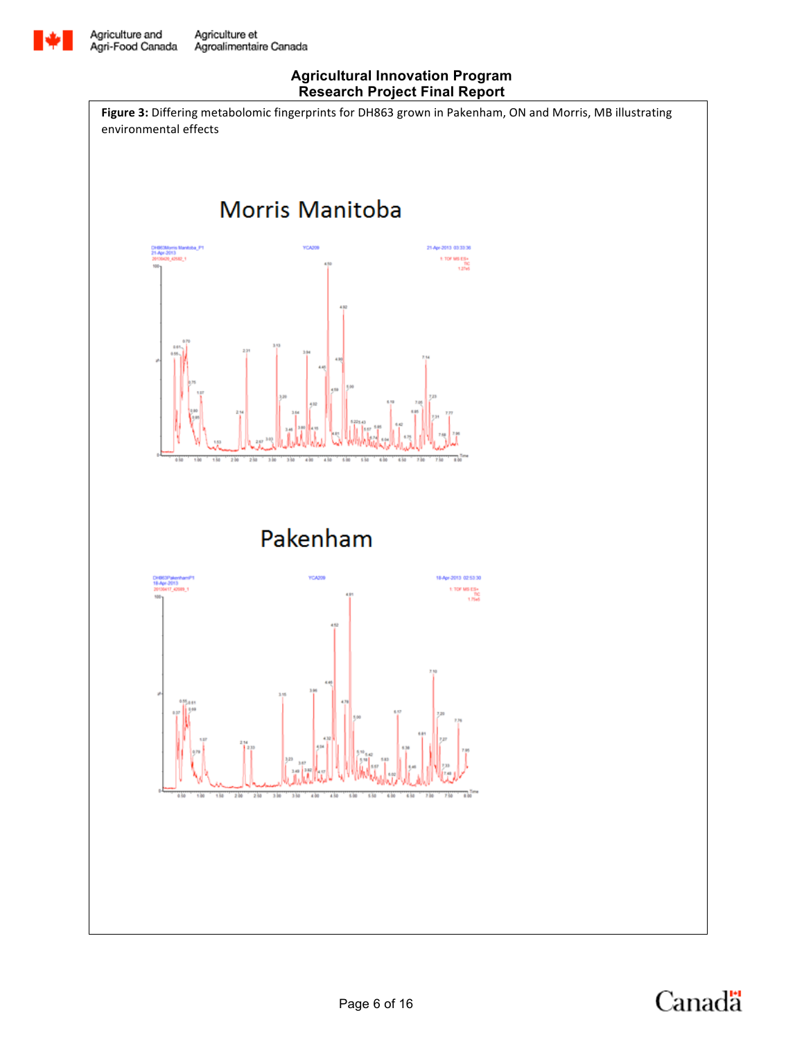![](_page_5_Picture_0.jpeg)

Figure 3: Differing metabolomic fingerprints for DH863 grown in Pakenham, ON and Morris, MB illustrating environmental effects

![](_page_5_Figure_4.jpeg)

Pakenham

![](_page_5_Figure_6.jpeg)

![](_page_5_Picture_7.jpeg)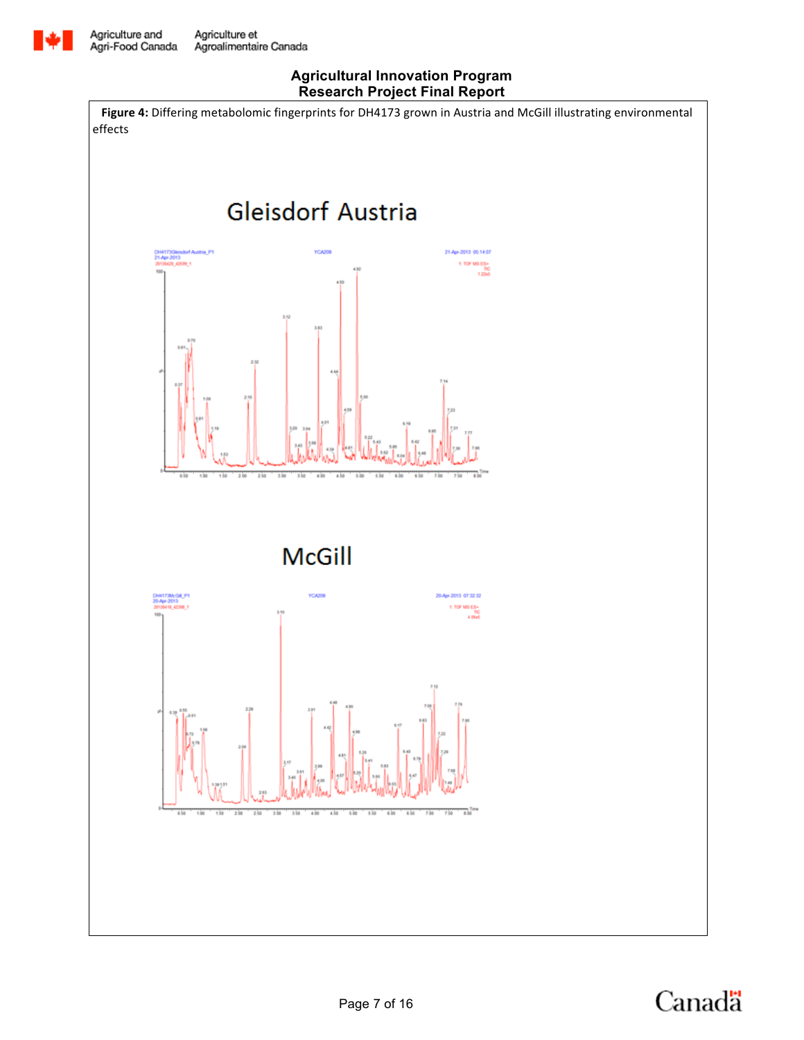![](_page_6_Picture_0.jpeg)

![](_page_6_Figure_3.jpeg)

![](_page_6_Picture_4.jpeg)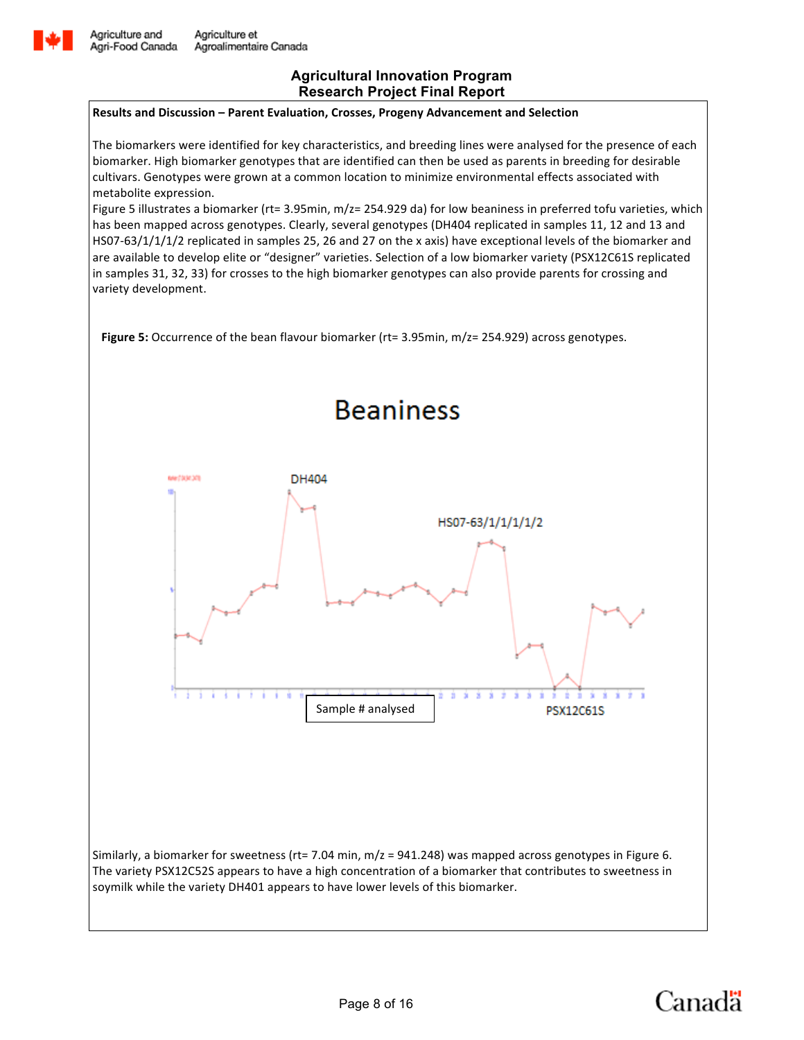![](_page_7_Picture_0.jpeg)

### **Results and Discussion - Parent Evaluation, Crosses, Progeny Advancement and Selection**

The biomarkers were identified for key characteristics, and breeding lines were analysed for the presence of each biomarker. High biomarker genotypes that are identified can then be used as parents in breeding for desirable cultivars. Genotypes were grown at a common location to minimize environmental effects associated with metabolite expression.

Figure 5 illustrates a biomarker (rt= 3.95min,  $m/z=$  254.929 da) for low beaniness in preferred tofu varieties, which has been mapped across genotypes. Clearly, several genotypes (DH404 replicated in samples 11, 12 and 13 and HS07-63/1/1/1/2 replicated in samples 25, 26 and 27 on the x axis) have exceptional levels of the biomarker and are available to develop elite or "designer" varieties. Selection of a low biomarker variety (PSX12C61S replicated in samples 31, 32, 33) for crosses to the high biomarker genotypes can also provide parents for crossing and variety development.

**Figure 5:** Occurrence of the bean flavour biomarker (rt= 3.95min, m/z= 254.929) across genotypes.

![](_page_7_Figure_7.jpeg)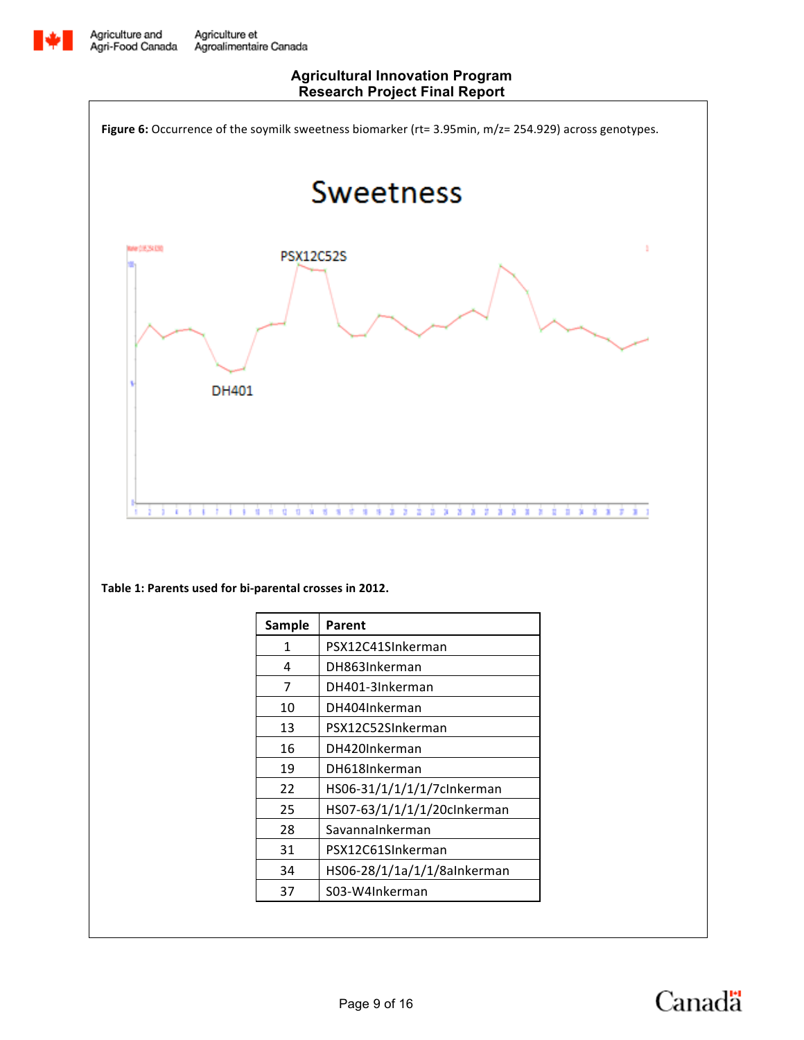![](_page_8_Picture_0.jpeg)

![](_page_8_Figure_3.jpeg)

![](_page_8_Picture_4.jpeg)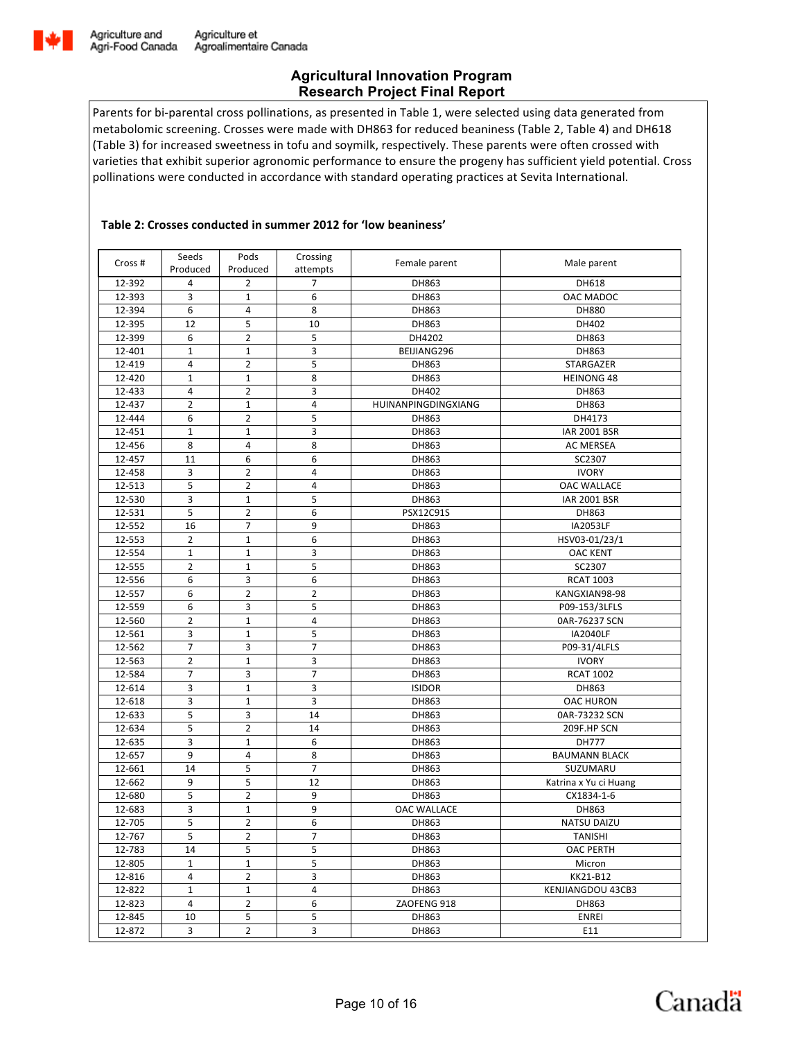![](_page_9_Picture_0.jpeg)

Parents for bi-parental cross pollinations, as presented in Table 1, were selected using data generated from metabolomic screening. Crosses were made with DH863 for reduced beaniness (Table 2, Table 4) and DH618 (Table 3) for increased sweetness in tofu and soymilk, respectively. These parents were often crossed with varieties that exhibit superior agronomic performance to ensure the progeny has sufficient yield potential. Cross pollinations were conducted in accordance with standard operating practices at Sevita International.

### Table 2: Crosses conducted in summer 2012 for 'low beaniness'

| Cross # | Seeds<br>Produced | Pods<br>Produced              | Crossing<br>attempts | Female parent       | Male parent           |
|---------|-------------------|-------------------------------|----------------------|---------------------|-----------------------|
| 12-392  | 4                 | 2                             | 7                    | DH863               | DH618                 |
| 12-393  | 3                 | $\mathbf{1}$                  | 6                    | DH863               | OAC MADOC             |
| 12-394  | 6                 | 4                             | 8                    | DH863               | DH880                 |
| 12-395  | 12                | 5                             | 10                   | DH863               | DH402                 |
| 12-399  | 6                 | $\overline{2}$                | 5                    | DH4202              | DH863                 |
| 12-401  | 1                 | 1                             | 3                    | BEIJIANG296         | DH863                 |
| 12-419  | 4                 | $\overline{2}$                | 5                    | DH863               | STARGAZER             |
| 12-420  | $\mathbf{1}$      | $\mathbf 1$                   | 8                    | DH863               | <b>HEINONG 48</b>     |
| 12-433  | 4                 | $\overline{2}$                | 3                    | DH402               | DH863                 |
| 12-437  | $\overline{2}$    | $\mathbf 1$                   | 4                    | HUINANPINGDINGXIANG | DH863                 |
| 12-444  | 6                 | $\overline{2}$                | 5                    | DH863               | DH4173                |
| 12-451  | $\mathbf{1}$      | $\mathbf 1$                   | 3                    | DH863               | <b>IAR 2001 BSR</b>   |
| 12-456  | 8                 | 4                             | 8                    | DH863               | AC MERSEA             |
| 12-457  | 11                | 6                             | 6                    | DH863               | SC2307                |
| 12-458  | 3                 | $\overline{2}$                | $\overline{4}$       | DH863               | <b>IVORY</b>          |
| 12-513  | 5                 | $\overline{2}$                | 4                    | DH863               | <b>OAC WALLACE</b>    |
| 12-530  | 3                 | $\mathbf{1}$                  | 5                    | DH863               | <b>IAR 2001 BSR</b>   |
| 12-531  | 5                 | $\overline{2}$                | 6                    | PSX12C91S           | DH863                 |
| 12-552  | 16                | 7                             | 9                    | DH863               | <b>IA2053LF</b>       |
| 12-553  | $\overline{2}$    | 1                             | 6                    | DH863               | HSV03-01/23/1         |
| 12-554  | $\mathbf 1$       | $\mathbf 1$                   | 3                    | DH863               | <b>OAC KENT</b>       |
| 12-555  | $\overline{2}$    | $\mathbf 1$                   | 5                    | DH863               | SC2307                |
| 12-556  | 6                 | 3                             | 6                    | DH863               | <b>RCAT 1003</b>      |
| 12-557  | 6                 | $\overline{2}$                | $\overline{2}$       | DH863               | KANGXIAN98-98         |
| 12-559  | 6                 | 3                             | 5                    | DH863               | P09-153/3LFLS         |
| 12-560  | $\overline{2}$    | $\mathbf 1$                   | 4                    | DH863               | 0AR-76237 SCN         |
| 12-561  | 3                 | $\mathbf 1$                   | 5                    | DH863               | <b>IA2040LF</b>       |
| 12-562  | $\overline{7}$    | 3                             | 7                    | DH863               | P09-31/4LFLS          |
| 12-563  | $\overline{2}$    | $\mathbf 1$                   | 3                    | DH863               | <b>IVORY</b>          |
| 12-584  | $\overline{7}$    | 3                             | 7                    | DH863               | <b>RCAT 1002</b>      |
| 12-614  | 3                 | $\mathbf 1$                   | 3                    | <b>ISIDOR</b>       | DH863                 |
| 12-618  | 3                 | $\mathbf{1}$                  | 3                    | DH863               | <b>OAC HURON</b>      |
| 12-633  | 5                 | 3                             | 14                   | DH863               | 0AR-73232 SCN         |
| 12-634  | 5                 | $\overline{2}$                | 14                   | DH863               | 209F.HP SCN           |
| 12-635  | 3                 | $\mathbf 1$                   | 6                    | DH863               | DH777                 |
| 12-657  | 9                 | 4                             | 8                    | DH863               | <b>BAUMANN BLACK</b>  |
| 12-661  | 14                | 5                             | $\overline{7}$       | DH863               | SUZUMARU              |
| 12-662  | 9                 | 5                             | 12                   | DH863               | Katrina x Yu ci Huang |
| 12-680  | 5                 | $\overline{2}$                | 9                    | DH863               | CX1834-1-6            |
| 12-683  | 3                 | $\mathbf 1$                   | 9                    | <b>OAC WALLACE</b>  | DH863                 |
| 12-705  | 5                 | $\overline{2}$                | 6                    | DH863               | <b>NATSU DAIZU</b>    |
| 12-767  | 5                 | $\overline{2}$                | 7                    | DH863               | <b>TANISHI</b>        |
| 12-783  | 14                | 5                             | 5                    | DH863               | <b>OAC PERTH</b>      |
| 12-805  | $\mathbf{1}$      | $\mathbf{1}$                  | 5                    | DH863               | Micron                |
| 12-816  | 4                 | $\overline{2}$                | 3                    | DH863               | KK21-B12              |
| 12-822  | $\mathbf{1}$      |                               | $\overline{4}$       | DH863               |                       |
| 12-823  | $\overline{4}$    | $\mathbf 1$<br>$\overline{2}$ | 6                    | ZAOFENG 918         | KENJIANGDOU 43CB3     |
|         |                   |                               |                      |                     | DH863                 |
| 12-845  | 10                | 5                             | 5                    | DH863               | <b>ENREI</b>          |
| 12-872  | 3                 | $\mathbf{2}$                  | $\overline{3}$       | DH863               | E11                   |

![](_page_9_Picture_6.jpeg)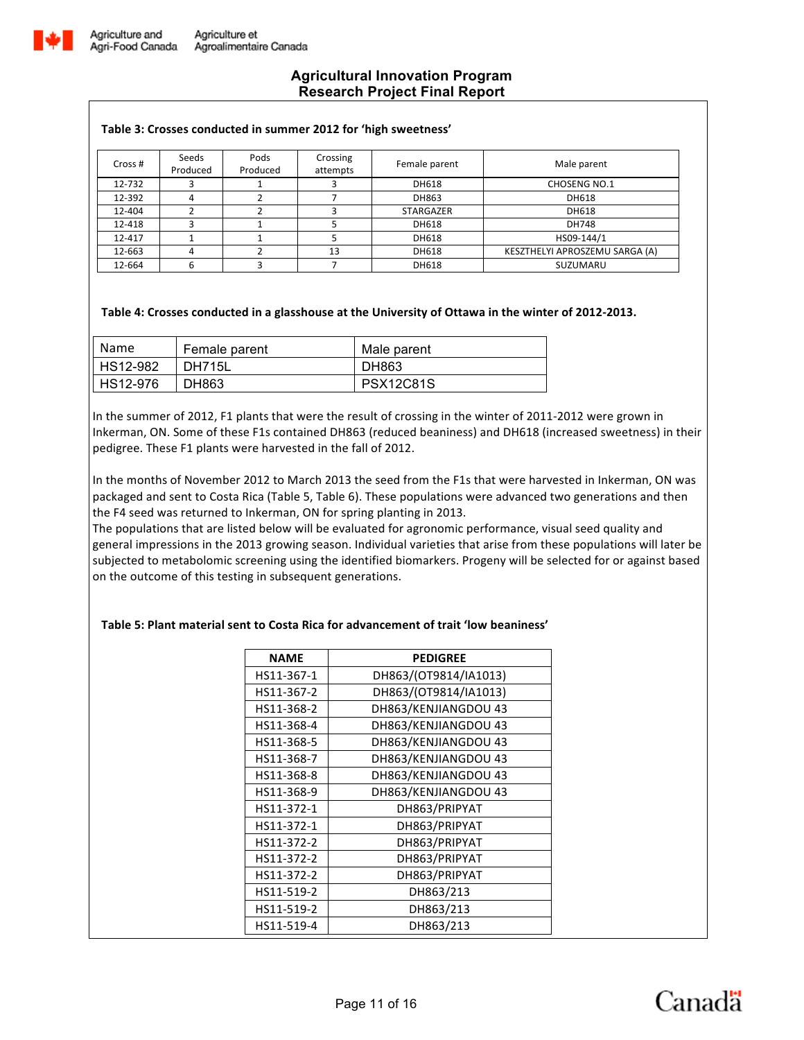![](_page_10_Picture_0.jpeg)

#### Table 3: Crosses conducted in summer 2012 for 'high sweetness'

| Cross # | Seeds<br>Produced | Pods<br>Produced | Crossing<br>attempts | Female parent | Male parent                    |
|---------|-------------------|------------------|----------------------|---------------|--------------------------------|
| 12-732  |                   |                  |                      | DH618         | <b>CHOSENG NO.1</b>            |
| 12-392  |                   |                  |                      | DH863         | DH618                          |
| 12-404  |                   |                  |                      | STARGAZER     | DH618                          |
| 12-418  |                   |                  |                      | DH618         | <b>DH748</b>                   |
| 12-417  |                   |                  |                      | DH618         | HS09-144/1                     |
| 12-663  | 4                 |                  | 13                   | DH618         | KESZTHELYI APROSZEMU SARGA (A) |
| 12-664  |                   |                  |                      | DH618         | SUZUMARU                       |

#### Table 4: Crosses conducted in a glasshouse at the University of Ottawa in the winter of 2012-2013.

| Name     | Female parent | Male parent      |
|----------|---------------|------------------|
| HS12-982 | <b>DH715L</b> | DH863            |
| HS12-976 | DH863         | <b>PSX12C81S</b> |

In the summer of 2012, F1 plants that were the result of crossing in the winter of 2011-2012 were grown in Inkerman, ON. Some of these F1s contained DH863 (reduced beaniness) and DH618 (increased sweetness) in their pedigree. These F1 plants were harvested in the fall of 2012.

In the months of November 2012 to March 2013 the seed from the F1s that were harvested in Inkerman, ON was packaged and sent to Costa Rica (Table 5, Table 6). These populations were advanced two generations and then the F4 seed was returned to Inkerman, ON for spring planting in 2013.

The populations that are listed below will be evaluated for agronomic performance, visual seed quality and general impressions in the 2013 growing season. Individual varieties that arise from these populations will later be subjected to metabolomic screening using the identified biomarkers. Progeny will be selected for or against based on the outcome of this testing in subsequent generations.

### **Table 5: Plant material sent to Costa Rica for advancement of trait 'low beaniness'**

| <b>NAME</b> | <b>PEDIGREE</b>       |
|-------------|-----------------------|
| HS11-367-1  | DH863/(OT9814/IA1013) |
| HS11-367-2  | DH863/(OT9814/IA1013) |
| HS11-368-2  | DH863/KENJIANGDOU 43  |
| HS11-368-4  | DH863/KENJIANGDOU 43  |
| HS11-368-5  | DH863/KENJIANGDOU 43  |
| HS11-368-7  | DH863/KENJIANGDOU 43  |
| HS11-368-8  | DH863/KENJIANGDOU 43  |
| HS11-368-9  | DH863/KENJIANGDOU 43  |
| HS11-372-1  | DH863/PRIPYAT         |
| HS11-372-1  | DH863/PRIPYAT         |
| HS11-372-2  | DH863/PRIPYAT         |
| HS11-372-2  | DH863/PRIPYAT         |
| HS11-372-2  | DH863/PRIPYAT         |
| HS11-519-2  | DH863/213             |
| HS11-519-2  | DH863/213             |
| HS11-519-4  | DH863/213             |

![](_page_10_Picture_12.jpeg)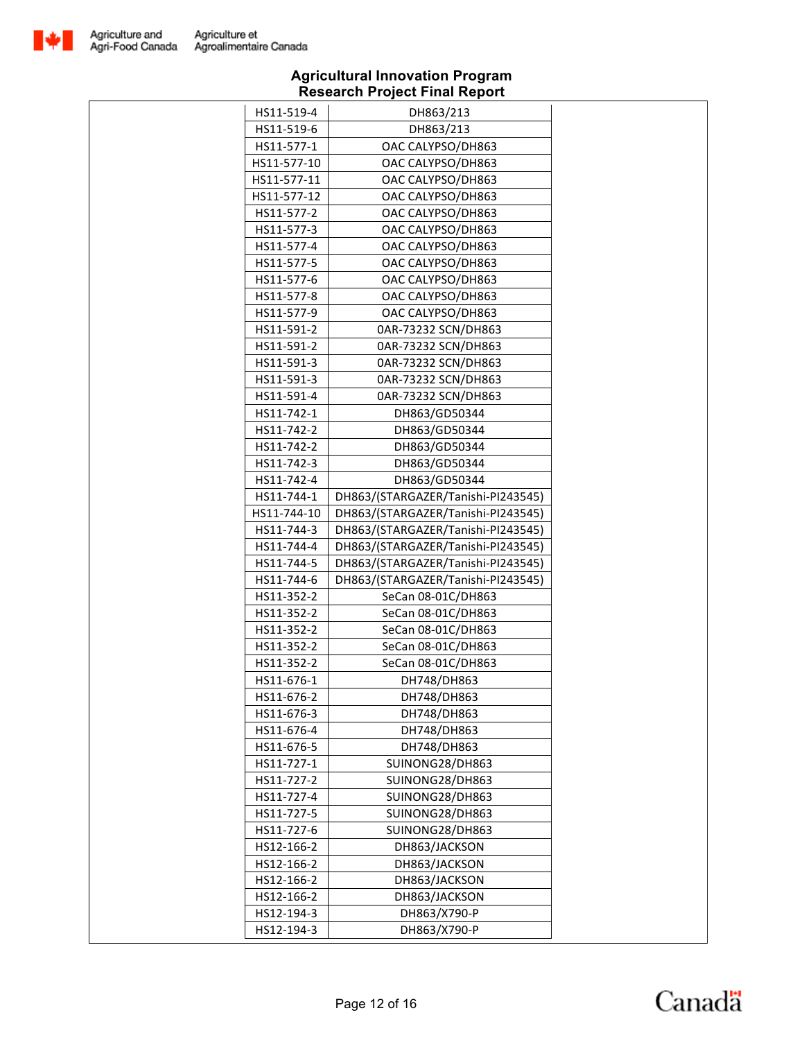![](_page_11_Picture_0.jpeg)

| HS11-519-4<br>DH863/213<br>HS11-519-6<br>DH863/213<br>HS11-577-1<br>OAC CALYPSO/DH863<br>HS11-577-10<br>OAC CALYPSO/DH863<br>HS11-577-11<br>OAC CALYPSO/DH863<br>HS11-577-12<br>OAC CALYPSO/DH863<br>HS11-577-2<br>OAC CALYPSO/DH863<br>HS11-577-3<br>OAC CALYPSO/DH863<br>HS11-577-4<br>OAC CALYPSO/DH863<br>HS11-577-5<br>OAC CALYPSO/DH863<br>OAC CALYPSO/DH863<br>HS11-577-6<br>HS11-577-8<br>OAC CALYPSO/DH863<br>HS11-577-9<br>OAC CALYPSO/DH863<br>HS11-591-2<br>0AR-73232 SCN/DH863<br>HS11-591-2<br>0AR-73232 SCN/DH863<br>HS11-591-3<br>0AR-73232 SCN/DH863<br>HS11-591-3<br>0AR-73232 SCN/DH863<br>0AR-73232 SCN/DH863<br>HS11-591-4<br>HS11-742-1<br>DH863/GD50344<br>HS11-742-2<br>DH863/GD50344<br>HS11-742-2<br>DH863/GD50344<br>HS11-742-3<br>DH863/GD50344<br>HS11-742-4<br>DH863/GD50344<br>DH863/(STARGAZER/Tanishi-PI243545)<br>HS11-744-1<br>HS11-744-10<br>DH863/(STARGAZER/Tanishi-PI243545)<br>HS11-744-3<br>DH863/(STARGAZER/Tanishi-PI243545)<br>HS11-744-4<br>DH863/(STARGAZER/Tanishi-PI243545)<br>DH863/(STARGAZER/Tanishi-PI243545)<br>HS11-744-5<br>HS11-744-6<br>DH863/(STARGAZER/Tanishi-PI243545)<br>HS11-352-2<br>SeCan 08-01C/DH863<br>HS11-352-2<br>SeCan 08-01C/DH863<br>HS11-352-2<br>SeCan 08-01C/DH863<br>SeCan 08-01C/DH863<br>HS11-352-2<br>SeCan 08-01C/DH863<br>HS11-352-2<br>DH748/DH863<br>HS11-676-1<br>DH748/DH863<br>HS11-676-2<br>DH748/DH863<br>HS11-676-3<br>DH748/DH863<br>HS11-676-4<br>HS11-676-5<br>DH748/DH863<br>HS11-727-1<br>SUINONG28/DH863<br>SUINONG28/DH863<br>HS11-727-2<br>HS11-727-4<br>SUINONG28/DH863<br>HS11-727-5<br>SUINONG28/DH863<br>HS11-727-6<br>SUINONG28/DH863<br>HS12-166-2<br>DH863/JACKSON<br>HS12-166-2<br>DH863/JACKSON<br>HS12-166-2<br>DH863/JACKSON<br>HS12-166-2<br>DH863/JACKSON |            |              |  |
|---------------------------------------------------------------------------------------------------------------------------------------------------------------------------------------------------------------------------------------------------------------------------------------------------------------------------------------------------------------------------------------------------------------------------------------------------------------------------------------------------------------------------------------------------------------------------------------------------------------------------------------------------------------------------------------------------------------------------------------------------------------------------------------------------------------------------------------------------------------------------------------------------------------------------------------------------------------------------------------------------------------------------------------------------------------------------------------------------------------------------------------------------------------------------------------------------------------------------------------------------------------------------------------------------------------------------------------------------------------------------------------------------------------------------------------------------------------------------------------------------------------------------------------------------------------------------------------------------------------------------------------------------------------------------------------------------------------------------------------------------------------------------|------------|--------------|--|
|                                                                                                                                                                                                                                                                                                                                                                                                                                                                                                                                                                                                                                                                                                                                                                                                                                                                                                                                                                                                                                                                                                                                                                                                                                                                                                                                                                                                                                                                                                                                                                                                                                                                                                                                                                           |            |              |  |
|                                                                                                                                                                                                                                                                                                                                                                                                                                                                                                                                                                                                                                                                                                                                                                                                                                                                                                                                                                                                                                                                                                                                                                                                                                                                                                                                                                                                                                                                                                                                                                                                                                                                                                                                                                           |            |              |  |
|                                                                                                                                                                                                                                                                                                                                                                                                                                                                                                                                                                                                                                                                                                                                                                                                                                                                                                                                                                                                                                                                                                                                                                                                                                                                                                                                                                                                                                                                                                                                                                                                                                                                                                                                                                           |            |              |  |
|                                                                                                                                                                                                                                                                                                                                                                                                                                                                                                                                                                                                                                                                                                                                                                                                                                                                                                                                                                                                                                                                                                                                                                                                                                                                                                                                                                                                                                                                                                                                                                                                                                                                                                                                                                           |            |              |  |
|                                                                                                                                                                                                                                                                                                                                                                                                                                                                                                                                                                                                                                                                                                                                                                                                                                                                                                                                                                                                                                                                                                                                                                                                                                                                                                                                                                                                                                                                                                                                                                                                                                                                                                                                                                           |            |              |  |
|                                                                                                                                                                                                                                                                                                                                                                                                                                                                                                                                                                                                                                                                                                                                                                                                                                                                                                                                                                                                                                                                                                                                                                                                                                                                                                                                                                                                                                                                                                                                                                                                                                                                                                                                                                           |            |              |  |
|                                                                                                                                                                                                                                                                                                                                                                                                                                                                                                                                                                                                                                                                                                                                                                                                                                                                                                                                                                                                                                                                                                                                                                                                                                                                                                                                                                                                                                                                                                                                                                                                                                                                                                                                                                           |            |              |  |
|                                                                                                                                                                                                                                                                                                                                                                                                                                                                                                                                                                                                                                                                                                                                                                                                                                                                                                                                                                                                                                                                                                                                                                                                                                                                                                                                                                                                                                                                                                                                                                                                                                                                                                                                                                           |            |              |  |
|                                                                                                                                                                                                                                                                                                                                                                                                                                                                                                                                                                                                                                                                                                                                                                                                                                                                                                                                                                                                                                                                                                                                                                                                                                                                                                                                                                                                                                                                                                                                                                                                                                                                                                                                                                           |            |              |  |
|                                                                                                                                                                                                                                                                                                                                                                                                                                                                                                                                                                                                                                                                                                                                                                                                                                                                                                                                                                                                                                                                                                                                                                                                                                                                                                                                                                                                                                                                                                                                                                                                                                                                                                                                                                           |            |              |  |
|                                                                                                                                                                                                                                                                                                                                                                                                                                                                                                                                                                                                                                                                                                                                                                                                                                                                                                                                                                                                                                                                                                                                                                                                                                                                                                                                                                                                                                                                                                                                                                                                                                                                                                                                                                           |            |              |  |
|                                                                                                                                                                                                                                                                                                                                                                                                                                                                                                                                                                                                                                                                                                                                                                                                                                                                                                                                                                                                                                                                                                                                                                                                                                                                                                                                                                                                                                                                                                                                                                                                                                                                                                                                                                           |            |              |  |
|                                                                                                                                                                                                                                                                                                                                                                                                                                                                                                                                                                                                                                                                                                                                                                                                                                                                                                                                                                                                                                                                                                                                                                                                                                                                                                                                                                                                                                                                                                                                                                                                                                                                                                                                                                           |            |              |  |
|                                                                                                                                                                                                                                                                                                                                                                                                                                                                                                                                                                                                                                                                                                                                                                                                                                                                                                                                                                                                                                                                                                                                                                                                                                                                                                                                                                                                                                                                                                                                                                                                                                                                                                                                                                           |            |              |  |
|                                                                                                                                                                                                                                                                                                                                                                                                                                                                                                                                                                                                                                                                                                                                                                                                                                                                                                                                                                                                                                                                                                                                                                                                                                                                                                                                                                                                                                                                                                                                                                                                                                                                                                                                                                           |            |              |  |
|                                                                                                                                                                                                                                                                                                                                                                                                                                                                                                                                                                                                                                                                                                                                                                                                                                                                                                                                                                                                                                                                                                                                                                                                                                                                                                                                                                                                                                                                                                                                                                                                                                                                                                                                                                           |            |              |  |
|                                                                                                                                                                                                                                                                                                                                                                                                                                                                                                                                                                                                                                                                                                                                                                                                                                                                                                                                                                                                                                                                                                                                                                                                                                                                                                                                                                                                                                                                                                                                                                                                                                                                                                                                                                           |            |              |  |
|                                                                                                                                                                                                                                                                                                                                                                                                                                                                                                                                                                                                                                                                                                                                                                                                                                                                                                                                                                                                                                                                                                                                                                                                                                                                                                                                                                                                                                                                                                                                                                                                                                                                                                                                                                           |            |              |  |
|                                                                                                                                                                                                                                                                                                                                                                                                                                                                                                                                                                                                                                                                                                                                                                                                                                                                                                                                                                                                                                                                                                                                                                                                                                                                                                                                                                                                                                                                                                                                                                                                                                                                                                                                                                           |            |              |  |
|                                                                                                                                                                                                                                                                                                                                                                                                                                                                                                                                                                                                                                                                                                                                                                                                                                                                                                                                                                                                                                                                                                                                                                                                                                                                                                                                                                                                                                                                                                                                                                                                                                                                                                                                                                           |            |              |  |
|                                                                                                                                                                                                                                                                                                                                                                                                                                                                                                                                                                                                                                                                                                                                                                                                                                                                                                                                                                                                                                                                                                                                                                                                                                                                                                                                                                                                                                                                                                                                                                                                                                                                                                                                                                           |            |              |  |
|                                                                                                                                                                                                                                                                                                                                                                                                                                                                                                                                                                                                                                                                                                                                                                                                                                                                                                                                                                                                                                                                                                                                                                                                                                                                                                                                                                                                                                                                                                                                                                                                                                                                                                                                                                           |            |              |  |
|                                                                                                                                                                                                                                                                                                                                                                                                                                                                                                                                                                                                                                                                                                                                                                                                                                                                                                                                                                                                                                                                                                                                                                                                                                                                                                                                                                                                                                                                                                                                                                                                                                                                                                                                                                           |            |              |  |
|                                                                                                                                                                                                                                                                                                                                                                                                                                                                                                                                                                                                                                                                                                                                                                                                                                                                                                                                                                                                                                                                                                                                                                                                                                                                                                                                                                                                                                                                                                                                                                                                                                                                                                                                                                           |            |              |  |
|                                                                                                                                                                                                                                                                                                                                                                                                                                                                                                                                                                                                                                                                                                                                                                                                                                                                                                                                                                                                                                                                                                                                                                                                                                                                                                                                                                                                                                                                                                                                                                                                                                                                                                                                                                           |            |              |  |
|                                                                                                                                                                                                                                                                                                                                                                                                                                                                                                                                                                                                                                                                                                                                                                                                                                                                                                                                                                                                                                                                                                                                                                                                                                                                                                                                                                                                                                                                                                                                                                                                                                                                                                                                                                           |            |              |  |
|                                                                                                                                                                                                                                                                                                                                                                                                                                                                                                                                                                                                                                                                                                                                                                                                                                                                                                                                                                                                                                                                                                                                                                                                                                                                                                                                                                                                                                                                                                                                                                                                                                                                                                                                                                           |            |              |  |
|                                                                                                                                                                                                                                                                                                                                                                                                                                                                                                                                                                                                                                                                                                                                                                                                                                                                                                                                                                                                                                                                                                                                                                                                                                                                                                                                                                                                                                                                                                                                                                                                                                                                                                                                                                           |            |              |  |
|                                                                                                                                                                                                                                                                                                                                                                                                                                                                                                                                                                                                                                                                                                                                                                                                                                                                                                                                                                                                                                                                                                                                                                                                                                                                                                                                                                                                                                                                                                                                                                                                                                                                                                                                                                           |            |              |  |
|                                                                                                                                                                                                                                                                                                                                                                                                                                                                                                                                                                                                                                                                                                                                                                                                                                                                                                                                                                                                                                                                                                                                                                                                                                                                                                                                                                                                                                                                                                                                                                                                                                                                                                                                                                           |            |              |  |
|                                                                                                                                                                                                                                                                                                                                                                                                                                                                                                                                                                                                                                                                                                                                                                                                                                                                                                                                                                                                                                                                                                                                                                                                                                                                                                                                                                                                                                                                                                                                                                                                                                                                                                                                                                           |            |              |  |
|                                                                                                                                                                                                                                                                                                                                                                                                                                                                                                                                                                                                                                                                                                                                                                                                                                                                                                                                                                                                                                                                                                                                                                                                                                                                                                                                                                                                                                                                                                                                                                                                                                                                                                                                                                           |            |              |  |
|                                                                                                                                                                                                                                                                                                                                                                                                                                                                                                                                                                                                                                                                                                                                                                                                                                                                                                                                                                                                                                                                                                                                                                                                                                                                                                                                                                                                                                                                                                                                                                                                                                                                                                                                                                           |            |              |  |
|                                                                                                                                                                                                                                                                                                                                                                                                                                                                                                                                                                                                                                                                                                                                                                                                                                                                                                                                                                                                                                                                                                                                                                                                                                                                                                                                                                                                                                                                                                                                                                                                                                                                                                                                                                           |            |              |  |
|                                                                                                                                                                                                                                                                                                                                                                                                                                                                                                                                                                                                                                                                                                                                                                                                                                                                                                                                                                                                                                                                                                                                                                                                                                                                                                                                                                                                                                                                                                                                                                                                                                                                                                                                                                           |            |              |  |
|                                                                                                                                                                                                                                                                                                                                                                                                                                                                                                                                                                                                                                                                                                                                                                                                                                                                                                                                                                                                                                                                                                                                                                                                                                                                                                                                                                                                                                                                                                                                                                                                                                                                                                                                                                           |            |              |  |
|                                                                                                                                                                                                                                                                                                                                                                                                                                                                                                                                                                                                                                                                                                                                                                                                                                                                                                                                                                                                                                                                                                                                                                                                                                                                                                                                                                                                                                                                                                                                                                                                                                                                                                                                                                           |            |              |  |
|                                                                                                                                                                                                                                                                                                                                                                                                                                                                                                                                                                                                                                                                                                                                                                                                                                                                                                                                                                                                                                                                                                                                                                                                                                                                                                                                                                                                                                                                                                                                                                                                                                                                                                                                                                           |            |              |  |
|                                                                                                                                                                                                                                                                                                                                                                                                                                                                                                                                                                                                                                                                                                                                                                                                                                                                                                                                                                                                                                                                                                                                                                                                                                                                                                                                                                                                                                                                                                                                                                                                                                                                                                                                                                           |            |              |  |
|                                                                                                                                                                                                                                                                                                                                                                                                                                                                                                                                                                                                                                                                                                                                                                                                                                                                                                                                                                                                                                                                                                                                                                                                                                                                                                                                                                                                                                                                                                                                                                                                                                                                                                                                                                           |            |              |  |
|                                                                                                                                                                                                                                                                                                                                                                                                                                                                                                                                                                                                                                                                                                                                                                                                                                                                                                                                                                                                                                                                                                                                                                                                                                                                                                                                                                                                                                                                                                                                                                                                                                                                                                                                                                           |            |              |  |
|                                                                                                                                                                                                                                                                                                                                                                                                                                                                                                                                                                                                                                                                                                                                                                                                                                                                                                                                                                                                                                                                                                                                                                                                                                                                                                                                                                                                                                                                                                                                                                                                                                                                                                                                                                           |            |              |  |
|                                                                                                                                                                                                                                                                                                                                                                                                                                                                                                                                                                                                                                                                                                                                                                                                                                                                                                                                                                                                                                                                                                                                                                                                                                                                                                                                                                                                                                                                                                                                                                                                                                                                                                                                                                           |            |              |  |
|                                                                                                                                                                                                                                                                                                                                                                                                                                                                                                                                                                                                                                                                                                                                                                                                                                                                                                                                                                                                                                                                                                                                                                                                                                                                                                                                                                                                                                                                                                                                                                                                                                                                                                                                                                           |            |              |  |
|                                                                                                                                                                                                                                                                                                                                                                                                                                                                                                                                                                                                                                                                                                                                                                                                                                                                                                                                                                                                                                                                                                                                                                                                                                                                                                                                                                                                                                                                                                                                                                                                                                                                                                                                                                           |            |              |  |
|                                                                                                                                                                                                                                                                                                                                                                                                                                                                                                                                                                                                                                                                                                                                                                                                                                                                                                                                                                                                                                                                                                                                                                                                                                                                                                                                                                                                                                                                                                                                                                                                                                                                                                                                                                           |            |              |  |
|                                                                                                                                                                                                                                                                                                                                                                                                                                                                                                                                                                                                                                                                                                                                                                                                                                                                                                                                                                                                                                                                                                                                                                                                                                                                                                                                                                                                                                                                                                                                                                                                                                                                                                                                                                           |            |              |  |
|                                                                                                                                                                                                                                                                                                                                                                                                                                                                                                                                                                                                                                                                                                                                                                                                                                                                                                                                                                                                                                                                                                                                                                                                                                                                                                                                                                                                                                                                                                                                                                                                                                                                                                                                                                           |            |              |  |
|                                                                                                                                                                                                                                                                                                                                                                                                                                                                                                                                                                                                                                                                                                                                                                                                                                                                                                                                                                                                                                                                                                                                                                                                                                                                                                                                                                                                                                                                                                                                                                                                                                                                                                                                                                           | HS12-194-3 | DH863/X790-P |  |
| HS12-194-3<br>DH863/X790-P                                                                                                                                                                                                                                                                                                                                                                                                                                                                                                                                                                                                                                                                                                                                                                                                                                                                                                                                                                                                                                                                                                                                                                                                                                                                                                                                                                                                                                                                                                                                                                                                                                                                                                                                                |            |              |  |

![](_page_11_Picture_4.jpeg)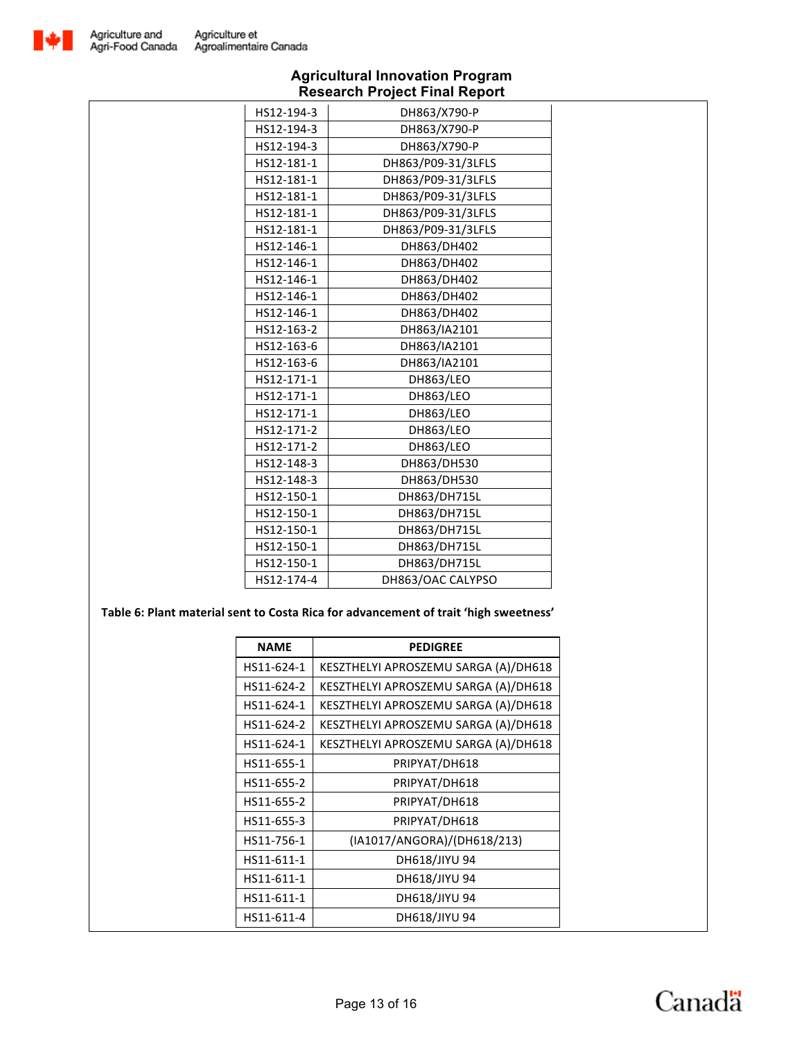![](_page_12_Picture_0.jpeg)

| HS12-194-3 | DH863/X790-P       |
|------------|--------------------|
| HS12-194-3 | DH863/X790-P       |
| HS12-194-3 | DH863/X790-P       |
| HS12-181-1 | DH863/P09-31/3LFLS |
| HS12-181-1 | DH863/P09-31/3LFLS |
| HS12-181-1 | DH863/P09-31/3LFLS |
| HS12-181-1 | DH863/P09-31/3LFLS |
| HS12-181-1 | DH863/P09-31/3LFLS |
| HS12-146-1 | DH863/DH402        |
| HS12-146-1 | DH863/DH402        |
| HS12-146-1 | DH863/DH402        |
| HS12-146-1 | DH863/DH402        |
| HS12-146-1 | DH863/DH402        |
| HS12-163-2 | DH863/IA2101       |
| HS12-163-6 | DH863/IA2101       |
| HS12-163-6 | DH863/IA2101       |
| HS12-171-1 | <b>DH863/LEO</b>   |
| HS12-171-1 | <b>DH863/LEO</b>   |
| HS12-171-1 | DH863/LEO          |
| HS12-171-2 | <b>DH863/LEO</b>   |
| HS12-171-2 | <b>DH863/LEO</b>   |
| HS12-148-3 | DH863/DH530        |
| HS12-148-3 | DH863/DH530        |
| HS12-150-1 | DH863/DH715L       |
| HS12-150-1 | DH863/DH715L       |
| HS12-150-1 | DH863/DH715L       |
| HS12-150-1 | DH863/DH715L       |
| HS12-150-1 | DH863/DH715L       |
| HS12-174-4 | DH863/OAC CALYPSO  |

### Table 6: Plant material sent to Costa Rica for advancement of trait 'high sweetness'

| <b>NAME</b> | <b>PEDIGREE</b>                      |
|-------------|--------------------------------------|
| HS11-624-1  | KESZTHELYI APROSZEMU SARGA (A)/DH618 |
| HS11-624-2  | KESZTHELYI APROSZEMU SARGA (A)/DH618 |
| HS11-624-1  | KESZTHELYI APROSZEMU SARGA (A)/DH618 |
| HS11-624-2  | KESZTHELYI APROSZEMU SARGA (A)/DH618 |
| HS11-624-1  | KESZTHELYI APROSZEMU SARGA (A)/DH618 |
| HS11-655-1  | PRIPYAT/DH618                        |
| HS11-655-2  | PRIPYAT/DH618                        |
| HS11-655-2  | PRIPYAT/DH618                        |
| HS11-655-3  | PRIPYAT/DH618                        |
| HS11-756-1  | (IA1017/ANGORA)/(DH618/213)          |
| HS11-611-1  | DH618/JIYU 94                        |
| HS11-611-1  | DH618/JIYU 94                        |
| HS11-611-1  | DH618/JIYU 94                        |
| HS11-611-4  | DH618/JIYU 94                        |

![](_page_12_Picture_6.jpeg)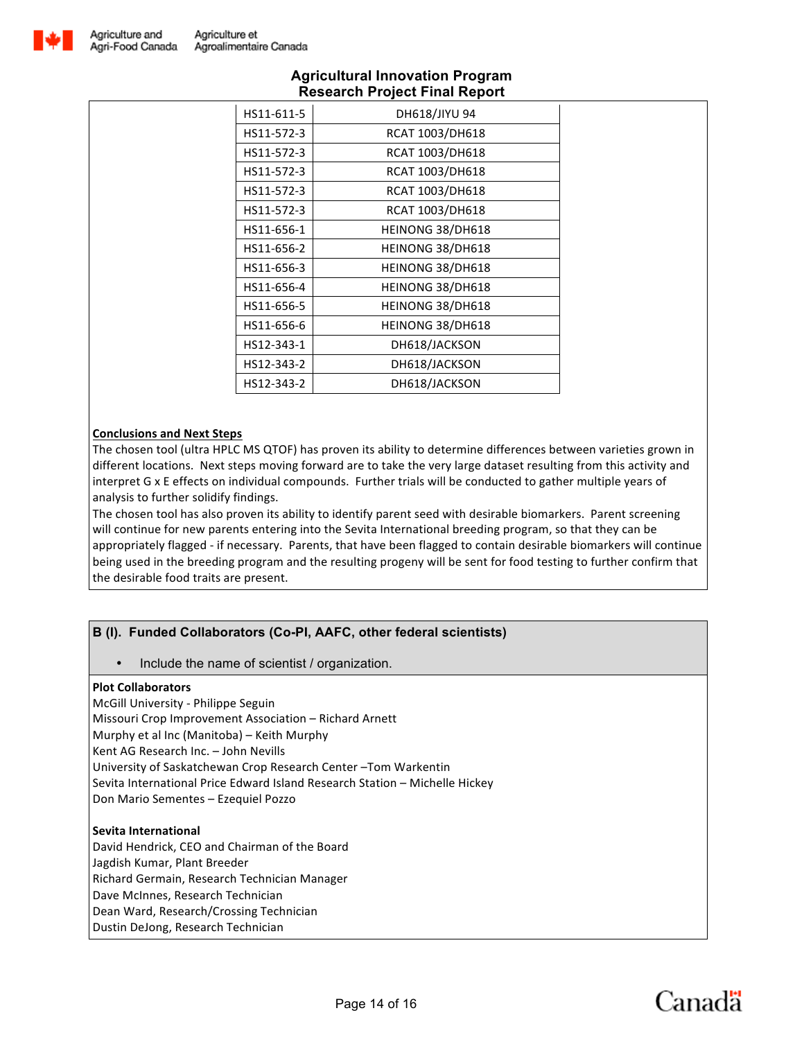![](_page_13_Picture_0.jpeg)

| HS11-611-5 | DH618/JIYU 94    |
|------------|------------------|
| HS11-572-3 | RCAT 1003/DH618  |
| HS11-572-3 | RCAT 1003/DH618  |
| HS11-572-3 | RCAT 1003/DH618  |
| HS11-572-3 | RCAT 1003/DH618  |
| HS11-572-3 | RCAT 1003/DH618  |
| HS11-656-1 | HEINONG 38/DH618 |
| HS11-656-2 | HEINONG 38/DH618 |
| HS11-656-3 | HEINONG 38/DH618 |
| HS11-656-4 | HEINONG 38/DH618 |
| HS11-656-5 | HEINONG 38/DH618 |
| HS11-656-6 | HEINONG 38/DH618 |
| HS12-343-1 | DH618/JACKSON    |
| HS12-343-2 | DH618/JACKSON    |
| HS12-343-2 | DH618/JACKSON    |

### **Conclusions and Next Steps**

The chosen tool (ultra HPLC MS QTOF) has proven its ability to determine differences between varieties grown in different locations. Next steps moving forward are to take the very large dataset resulting from this activity and interpret G x E effects on individual compounds. Further trials will be conducted to gather multiple years of analysis to further solidify findings.

The chosen tool has also proven its ability to identify parent seed with desirable biomarkers. Parent screening will continue for new parents entering into the Sevita International breeding program, so that they can be appropriately flagged - if necessary. Parents, that have been flagged to contain desirable biomarkers will continue being used in the breeding program and the resulting progeny will be sent for food testing to further confirm that the desirable food traits are present.

# **B (I). Funded Collaborators (Co-PI, AAFC, other federal scientists)**

• Include the name of scientist / organization.

### **Plot Collaborators**

McGill University - Philippe Seguin Missouri Crop Improvement Association - Richard Arnett Murphy et al Inc (Manitoba) – Keith Murphy Kent AG Research Inc. - John Nevills University of Saskatchewan Crop Research Center -Tom Warkentin Sevita International Price Edward Island Research Station - Michelle Hickey Don Mario Sementes - Ezequiel Pozzo

### **Sevita International**

David Hendrick, CEO and Chairman of the Board Jagdish Kumar, Plant Breeder Richard Germain, Research Technician Manager Dave McInnes, Research Technician Dean Ward, Research/Crossing Technician Dustin DeJong, Research Technician

![](_page_13_Picture_14.jpeg)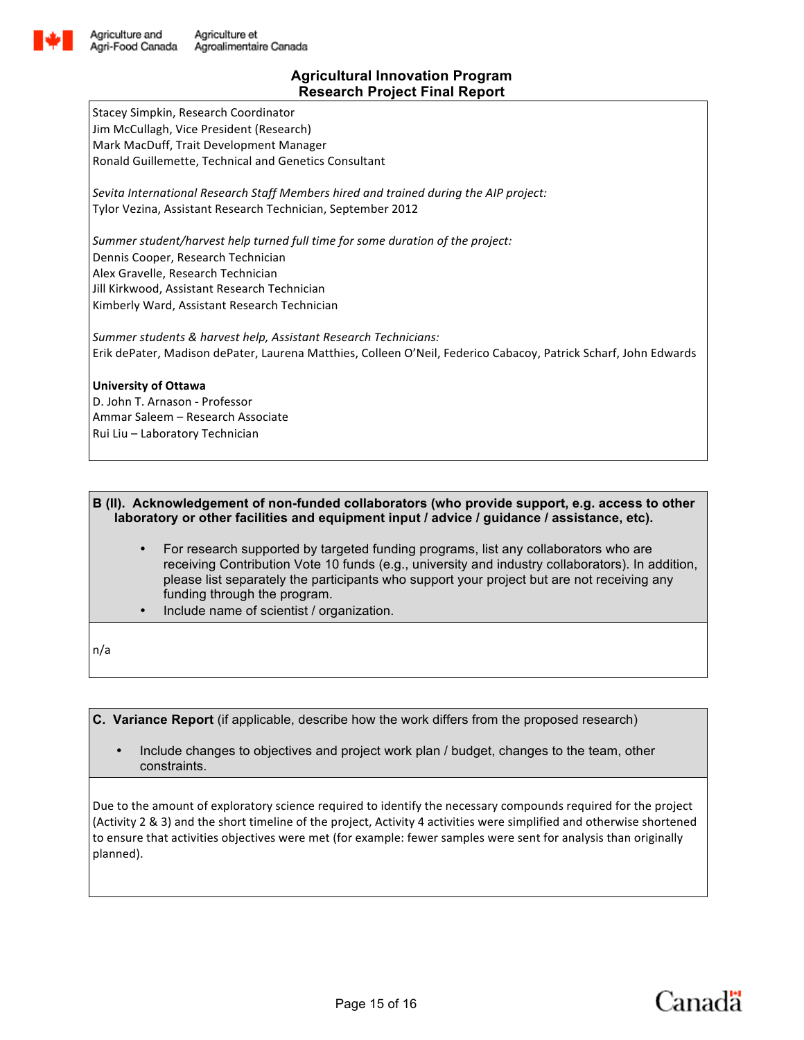![](_page_14_Picture_0.jpeg)

Stacey Simpkin, Research Coordinator Jim McCullagh, Vice President (Research) Mark MacDuff, Trait Development Manager Ronald Guillemette, Technical and Genetics Consultant

Sevita International Research Staff Members hired and trained during the AIP project: Tylor Vezina, Assistant Research Technician, September 2012

Summer student/harvest help turned full time for some duration of the project: Dennis Cooper, Research Technician Alex Gravelle, Research Technician Jill Kirkwood, Assistant Research Technician Kimberly Ward, Assistant Research Technician

Summer students & harvest help, Assistant Research Technicians: Erik dePater, Madison dePater, Laurena Matthies, Colleen O'Neil, Federico Cabacoy, Patrick Scharf, John Edwards

### **University of Ottawa**

D. John T. Arnason - Professor Ammar Saleem - Research Associate Rui Liu - Laboratory Technician

### **B (II). Acknowledgement of non-funded collaborators (who provide support, e.g. access to other laboratory or other facilities and equipment input / advice / guidance / assistance, etc).**

- For research supported by targeted funding programs, list any collaborators who are receiving Contribution Vote 10 funds (e.g., university and industry collaborators). In addition, please list separately the participants who support your project but are not receiving any funding through the program.
- Include name of scientist / organization.

n/a

**C. Variance Report** (if applicable, describe how the work differs from the proposed research)

• Include changes to objectives and project work plan / budget, changes to the team, other constraints.

Due to the amount of exploratory science required to identify the necessary compounds required for the project (Activity 2 & 3) and the short timeline of the project, Activity 4 activities were simplified and otherwise shortened to ensure that activities objectives were met (for example: fewer samples were sent for analysis than originally planned).

Canadä